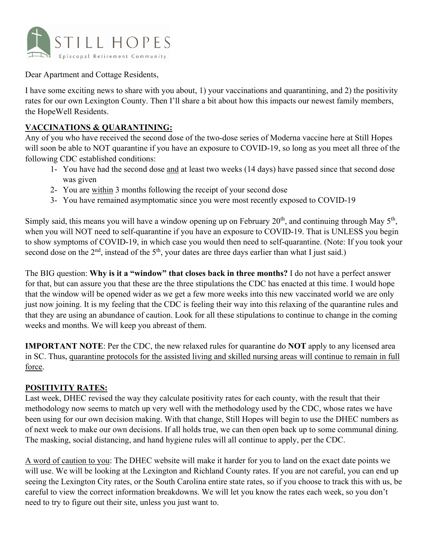

Dear Apartment and Cottage Residents,

I have some exciting news to share with you about, 1) your vaccinations and quarantining, and 2) the positivity rates for our own Lexington County. Then I'll share a bit about how this impacts our newest family members, the HopeWell Residents.

## **VACCINATIONS & QUARANTINING:**

Any of you who have received the second dose of the two-dose series of Moderna vaccine here at Still Hopes will soon be able to NOT quarantine if you have an exposure to COVID-19, so long as you meet all three of the following CDC established conditions:

- 1- You have had the second dose and at least two weeks (14 days) have passed since that second dose was given
- 2- You are within 3 months following the receipt of your second dose
- 3- You have remained asymptomatic since you were most recently exposed to COVID-19

Simply said, this means you will have a window opening up on February  $20<sup>th</sup>$ , and continuing through May  $5<sup>th</sup>$ , when you will NOT need to self-quarantine if you have an exposure to COVID-19. That is UNLESS you begin to show symptoms of COVID-19, in which case you would then need to self-quarantine. (Note: If you took your second dose on the  $2<sup>nd</sup>$ , instead of the  $5<sup>th</sup>$ , your dates are three days earlier than what I just said.)

The BIG question: **Why is it a "window" that closes back in three months?** I do not have a perfect answer for that, but can assure you that these are the three stipulations the CDC has enacted at this time. I would hope that the window will be opened wider as we get a few more weeks into this new vaccinated world we are only just now joining. It is my feeling that the CDC is feeling their way into this relaxing of the quarantine rules and that they are using an abundance of caution. Look for all these stipulations to continue to change in the coming weeks and months. We will keep you abreast of them.

**IMPORTANT NOTE**: Per the CDC, the new relaxed rules for quarantine do **NOT** apply to any licensed area in SC. Thus, quarantine protocols for the assisted living and skilled nursing areas will continue to remain in full force.

## **POSITIVITY RATES:**

Last week, DHEC revised the way they calculate positivity rates for each county, with the result that their methodology now seems to match up very well with the methodology used by the CDC, whose rates we have been using for our own decision making. With that change, Still Hopes will begin to use the DHEC numbers as of next week to make our own decisions. If all holds true, we can then open back up to some communal dining. The masking, social distancing, and hand hygiene rules will all continue to apply, per the CDC.

A word of caution to you: The DHEC website will make it harder for you to land on the exact date points we will use. We will be looking at the Lexington and Richland County rates. If you are not careful, you can end up seeing the Lexington City rates, or the South Carolina entire state rates, so if you choose to track this with us, be careful to view the correct information breakdowns. We will let you know the rates each week, so you don't need to try to figure out their site, unless you just want to.